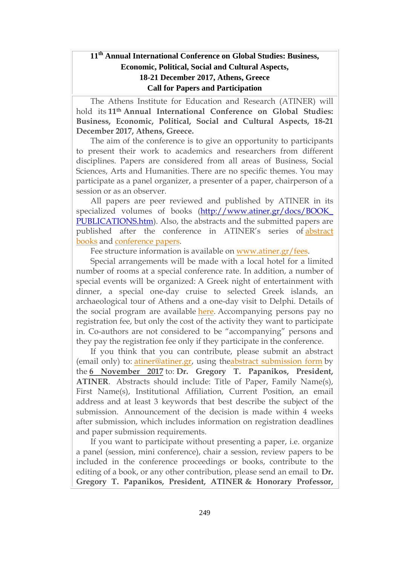## **11th Annual International Conference on Global Studies: Business, Economic, Political, Social and Cultural Aspects, 18-21 December 2017, Athens, Greece Call for Papers and Participation**

The Athens Institute for Education and Research (ATINER) will hold its **11th Annual International Conference on Global Studies: Business, Economic, Political, Social and Cultural Aspects, 18-21 December 2017, Athens, Greece.**

The aim of the conference is to give an opportunity to participants to present their work to academics and researchers from different disciplines. Papers are considered from all areas of Business, Social Sciences, Arts and Humanities. There are no specific themes. You may participate as a panel organizer, a presenter of a paper, chairperson of a session or as an observer.

All papers are peer reviewed and published by ATINER in its specialized volumes of books [\(http://www.atiner.gr/docs/BOOK\\_](http://www.atiner.gr/docs/BOOK_%20PUBLICATIONS.htm) [PUBLICATIONS.htm\)](http://www.atiner.gr/docs/BOOK_%20PUBLICATIONS.htm). Also, the abstracts and the submitted papers are published after the conference in ATINER's series of [abstract](http://www.atiner.gr/docs/ABSTRACT-PUBLICATIONS.htm) [books](http://www.atiner.gr/docs/ABSTRACT-PUBLICATIONS.htm) and [conference](http://www.atiner.gr/papers.htm) papers.

Fee structure information is available on [www.atiner.gr/fees.](http://www.atiner.gr/fees)

Special arrangements will be made with a local hotel for a limited number of rooms at a special conference rate. In addition, a number of special events will be organized: A Greek night of entertainment with dinner, a special one-day cruise to selected Greek islands, an archaeological tour of Athens and a one-day visit to Delphi. Details of the social program are available [here.](http://www.atiner.gr/social-program) Accompanying persons pay no registration fee, but only the cost of the activity they want to participate in. Co-authors are not considered to be "accompanying" persons and they pay the registration fee only if they participate in the conference.

If you think that you can contribute, please submit an abstract (email only) to: [atiner@atiner.gr,](mailto:atiner@atiner.gr) using theabstract [submission](http://www.atiner.gr/2017/FORM-CBC.doc) form by the **6 November 2017** to: **Dr. Gregory T. Papanikos, President, ATINER**. Abstracts should include: Title of Paper, Family Name(s), First Name(s), Institutional Affiliation, Current Position, an email address and at least 3 keywords that best describe the subject of the submission. Announcement of the decision is made within 4 weeks after submission, which includes information on registration deadlines and paper submission requirements.

If you want to participate without presenting a paper, i.e. organize a panel (session, mini conference), chair a session, review papers to be included in the conference proceedings or books, contribute to the editing of a book, or any other contribution, please send an email to **Dr. Gregory T. Papanikos, President, ATINER & Honorary Professor,**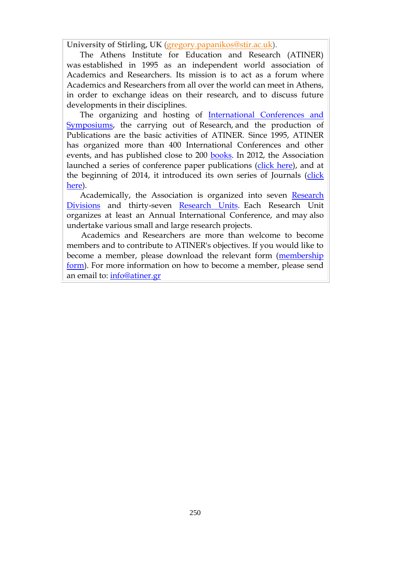**University of Stirling, UK** [\(gregory.papanikos@stir.ac.uk\)](mailto:gregory.papanikos@stir.ac.uk).

The Athens Institute for Education and Research (ATINER) was established in 1995 as an independent world association of Academics and Researchers. Its mission is to act as a forum where Academics and Researchers from all over the world can meet in Athens, in order to exchange ideas on their research, and to discuss future developments in their disciplines.

The organizing and hosting of [International Conferences and](http://www.atiner.gr/Conferences.htm)  [Symposiums,](http://www.atiner.gr/Conferences.htm) the carrying out of Research, and the production of Publications are the basic activities of ATINER. Since 1995, ATINER has organized more than 400 International Conferences and other events, and has published close to 200 [books.](http://www.atiner.gr/Publications.htm) In 2012, the Association launched a series of conference paper publications [\(click here\)](http://www.atiner.gr/papers.htm), and at the beginning of 2014, it introduced its own series of Journals [\(click](http://www.athensjournals.gr/)  [here\)](http://www.athensjournals.gr/).

Academically, the Association is organized into seven [Research](http://www.atiner.gr/RESEARCH-DIVISIONS.htm)  [Divisions](http://www.atiner.gr/RESEARCH-DIVISIONS.htm) and thirty-seven [Research Units.](http://www.atiner.gr/RESEARCH-DIVISIONS.htm) Each Research Unit organizes at least an Annual International Conference, and may also undertake various small and large research projects.

Academics and Researchers are more than welcome to become members and to contribute to ATINER's objectives. If you would like to become a member, please download the relevant form [\(membership](http://www.atiner.gr/docs/MEMBER_FORM.doc)  [form\)](http://www.atiner.gr/docs/MEMBER_FORM.doc). For more information on how to become a member, please send an email to: [info@atiner.gr](mailto:info@atiner.gr)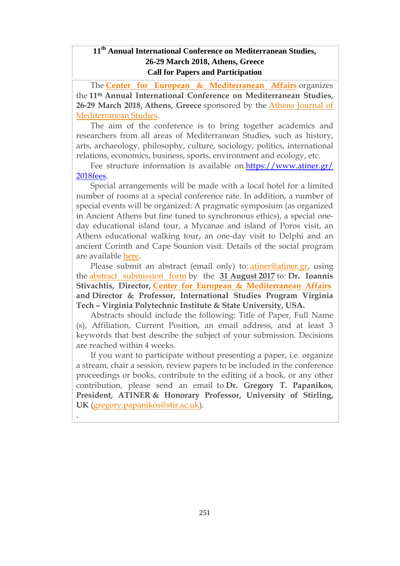## **11th Annual International Conference on Mediterranean Studies, 26-29 March 2018, Athens, Greece Call for Papers and Participation**

The **Center for European & [Mediterranean](http://www.atiner.gr/cema) Affairs** organizes the **11th Annual International Conference on Mediterranean Studies, 26-29 March 2018, Athens, Greece** sponsored by the Athens [Journal](http://www.athensjournals.gr/ajms) of [Mediterranean](http://www.athensjournals.gr/ajms) Studies.

The aim of the conference is to bring together academics and researchers from all areas of Mediterranean Studies, such as history, arts, archaeology, philosophy, culture, sociology, politics, international relations, economics, business, sports, environment and ecology, etc.

Fee structure information is available on [https://www.atiner.gr/](https://www.atiner.gr/%202018fees) [2018fees.](https://www.atiner.gr/%202018fees)

Special arrangements will be made with a local hotel for a limited number of rooms at a special conference rate. In addition, a number of special events will be organized: A pragmatic symposium (as organized in Ancient Athens but fine tuned to synchronous ethics), a special oneday educational island tour, a Mycanae and island of Poros visit, an Athens educational walking tour, an one-day visit to Delphi and an ancient Corinth and Cape Sounion visit. Details of the social program are available [here.](http://www.atiner.gr/social-program)

Please submit an abstract (email only) to: [atiner@atiner.gr,](mailto:atiner@atiner.gr) using the abstract [submission](https://www.atiner.gr/2018/FORM-MDT.doc) form by the **31 August 2017** to: **Dr. Ioannis Stivachtis, Director, Center for European & [Mediterranean](http://www.atiner.gr/cema) Affairs and Director & Professor, International Studies Program Virginia Tech – Virginia Polytechnic Institute & State University, USA.**

Abstracts should include the following: Title of Paper, Full Name (s), Affiliation, Current Position, an email address, and at least 3 keywords that best describe the subject of your submission. Decisions are reached within 4 weeks.

If you want to participate without presenting a paper, i.e. organize a stream, chair a session, review papers to be included in the conference proceedings or books, contribute to the editing of a book, or any other contribution, please send an email to **Dr. Gregory T. Papanikos, President, ATINER & Honorary Professor, University of Stirling, UK** [\(gregory.papanikos@stir.ac.uk\)](mailto:gregory.papanikos@stir.ac.uk).

.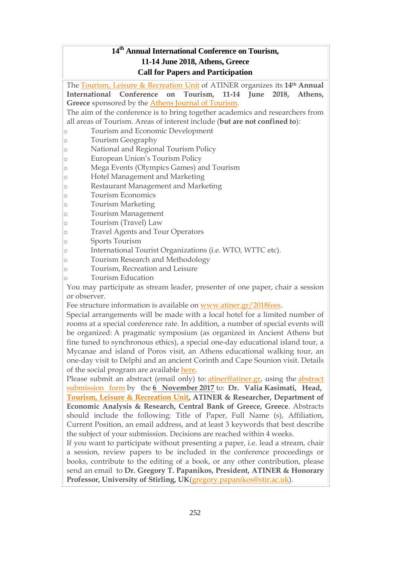## **14 th Annual International Conference on Tourism, 11-14 June 2018, Athens, Greece Call for Papers and Participation**

The Tourism, Leisure & [Recreation](http://www.atiner.gr/TOURISM-UNITs) Unit of ATINER organizes its **14th Annual International Conference on Tourism, 11-14 June 2018, Athens, Greece** sponsored by the Athens Journal of [Tourism.](http://www.athensjournals.gr/ajt) The aim of the conference is to bring together academics and researchers from all areas of Tourism. Areas of interest include (**but are not confined to**):

- o Tourism and Economic Development
- o Tourism Geography
- o National and Regional Tourism Policy
- o European Union's Tourism Policy
- o Mega Events (Olympics Games) and Tourism
- o Hotel Management and Marketing
- o Restaurant Management and Marketing
- o Tourism Economics
- o Tourism Marketing
- o Tourism Management
- o Tourism (Travel) Law
- o Travel Agents and Tour Operators
- o Sports Tourism
- o International Tourist Organizations (i.e. WTO, WTTC etc).
- o Tourism Research and Methodology
- o Tourism, Recreation and Leisure
- o Tourism Education

You may participate as stream leader, presenter of one paper, chair a session or observer.

Fee structure information is available on [www.atiner.gr/2018fees.](https://www.atiner.gr/2018fees)

Special arrangements will be made with a local hotel for a limited number of rooms at a special conference rate. In addition, a number of special events will be organized: A pragmatic symposium (as organized in Ancient Athens but fine tuned to synchronous ethics), a special one-day educational island tour, a Mycanae and island of Poros visit, an Athens educational walking tour, an one-day visit to Delphi and an ancient Corinth and Cape Sounion visit. Details of the social program are available [here.](http://www.atiner.gr/social-program)

Please submit an abstract (email only) to: [atiner@atiner.gr,](mailto:atiner@atiner.gr) using the [abstract](https://www.atiner.gr/2018/FORM-TOU.doc) [submission](https://www.atiner.gr/2018/FORM-TOU.doc) form by the **6 November 2017** to: **Dr. Valia Kasimati, Head, Tourism, Leisure & [Recreation](http://www.atiner.gr/TOURISM-UNIT) Unit, ATINER & Researcher, Department of Economic Analysis & Research, Central Bank of Greece, Greece**. Abstracts should include the following: Title of Paper, Full Name (s), Affiliation, Current Position, an email address, and at least 3 keywords that best describe the subject of your submission. Decisions are reached within 4 weeks.

If you want to participate without presenting a paper, i.e. lead a stream, chair a session, review papers to be included in the conference proceedings or books, contribute to the editing of a book, or any other contribution, please send an email to **Dr. Gregory T. Papanikos, President, ATINER & Honorary Professor, University of Stirling, UK**[\(gregory.papanikos@stir.ac.uk\)](mailto:gregory.papanikos@stir.ac.uk).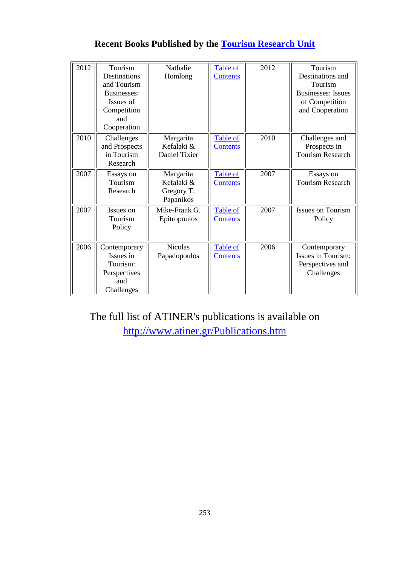| 2012 | Tourism<br>Destinations<br>and Tourism<br>Businesses:<br>Issues of<br>Competition<br>and<br>Cooperation | Nathalie<br>Homlong                                | Table of<br><b>Contents</b> | 2012 | Tourism<br>Destinations and<br>Tourism<br><b>Businesses:</b> Issues<br>of Competition<br>and Cooperation |
|------|---------------------------------------------------------------------------------------------------------|----------------------------------------------------|-----------------------------|------|----------------------------------------------------------------------------------------------------------|
| 2010 | Challenges<br>and Prospects<br>in Tourism<br>Research                                                   | Margarita<br>Kefalaki &<br>Daniel Tixier           | Table of<br><b>Contents</b> | 2010 | Challenges and<br>Prospects in<br><b>Tourism Research</b>                                                |
| 2007 | Essays on<br>Tourism<br>Research                                                                        | Margarita<br>Kefalaki &<br>Gregory T.<br>Papanikos | Table of<br><b>Contents</b> | 2007 | Essays on<br><b>Tourism Research</b>                                                                     |
| 2007 | Issues on<br>Tourism<br>Policy                                                                          | Mike-Frank G.<br>Epitropoulos                      | Table of<br><b>Contents</b> | 2007 | <b>Issues on Tourism</b><br>Policy                                                                       |
| 2006 | Contemporary<br>Issues in<br>Tourism:<br>Perspectives<br>and<br>Challenges                              | <b>Nicolas</b><br>Papadopoulos                     | Table of<br><b>Contents</b> | 2006 | Contemporary<br>Issues in Tourism:<br>Perspectives and<br>Challenges                                     |

# **Recent Books Published by the [Tourism Research Unit](http://www.atiner.gr/TOURISM-UNIT.htm)**

The full list of ATINER's publications is available on <http://www.atiner.gr/Publications.htm>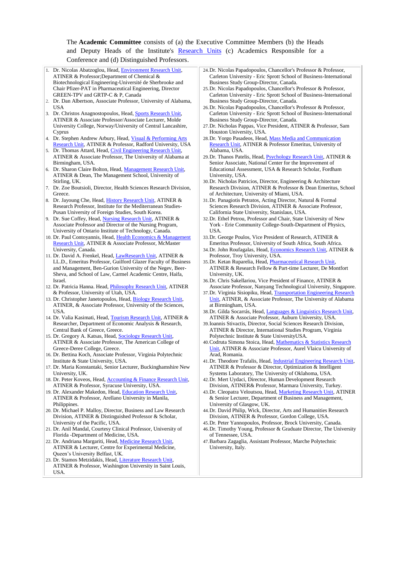#### The **Academic Committee** consists of (a) the Executive Committee Members (b) the Heads and Deputy Heads of the Institute's [Research Units](http://www.atiner.gr/RESEARCH-DIVISIONS.htm) (c) Academics Responsible for a Conference and (d) Distinguished Professors.

| 1. Dr. Nicolas Abatzoglou, Head, Environment Research Unit,                                                                | 24. Dr. Nicolas Papadopoulos, Chancellor's Professor & Professor,                                           |
|----------------------------------------------------------------------------------------------------------------------------|-------------------------------------------------------------------------------------------------------------|
| ATINER & Professor; Department of Chemical &                                                                               | Carleton University - Eric Sprott School of Business-International                                          |
| Biotechnological Engineering-Université de Sherbrooke and                                                                  | Business Study Group-Director, Canada.                                                                      |
| Chair Pfizer-PAT in Pharmaceutical Engineering, Director                                                                   | 25. Dr. Nicolas Papadopoulos, Chancellor's Professor & Professor,                                           |
| GREEN-TPV and GRTP-C & P, Canada                                                                                           | Carleton University - Eric Sprott School of Business-International                                          |
| 2. Dr. Dan Albertson, Associate Professor, University of Alabama,                                                          | Business Study Group-Director, Canada.                                                                      |
| USA                                                                                                                        | 26. Dr. Nicolas Papadopoulos, Chancellor's Professor & Professor,                                           |
| 3. Dr. Christos Anagnostopoulos, Head, Sports Research Unit,                                                               | Carleton University - Eric Sprott School of Business-International                                          |
| ATINER & Associate Professor/Associate Lecturer, Molde                                                                     | Business Study Group-Director, Canada.                                                                      |
| University College, Norway/University of Central Lancashire,                                                               | 27. Dr. Nicholas Pappas, Vice President, ATINER & Professor, Sam                                            |
| Cyprus                                                                                                                     | Houston University, USA.                                                                                    |
| 4. Dr. Stephen Andrew Arbury, Head, <i>Visual &amp; Performing Arts</i>                                                    | 28. Dr. Yorgo Pasadeos, Head, Mass Media and Communication                                                  |
| Research Unit, ATINER & Professor, Radford University, USA<br>5. Dr. Thomas Attard, Head, Civil Engineering Research Unit, | Research Unit, ATINER & Professor Emeritus, University of                                                   |
| ATINER & Associate Professor, The University of Alabama at                                                                 | Alabama, USA.<br>29. Dr. Thanos Patelis, Head, Psychology Research Unit, ATINER &                           |
| Birmingham, USA.                                                                                                           | Senior Associate, National Center for the Improvement of                                                    |
| 6. Dr. Sharon Claire Bolton, Head, Management Research Unit,                                                               | Educational Assessment, USA & Research Scholar, Fordham                                                     |
| ATINER & Dean, The Management School, University of                                                                        | University, USA.                                                                                            |
| Stirling, UK.                                                                                                              | 30. Dr. Nicholas Patricios, Director, Engineering & Architecture                                            |
| 7. Dr. Zoe Boutsioli, Director, Health Sciences Research Division,                                                         | Research Division, ATINER & Professor & Dean Emeritus, School                                               |
| Greece.                                                                                                                    | of Architecture, University of Miami, USA.                                                                  |
| 8. Dr. Jayoung Che, Head, <i>History Research Unit</i> , ATINER &                                                          | 31. Dr. Panagiotis Petratos, Acting Director, Natural & Formal                                              |
| Research Professor, Institute for the Mediterranean Studies-                                                               | Sciences Research Division, ATINER & Associate Professor,                                                   |
| Pusan University of Foreign Studies, South Korea.                                                                          | California State University, Stanislaus, USA.                                                               |
| 9. Dr. Sue Coffey, Head, Nursing Research Unit, ATINER &                                                                   | 32. Dr. Ethel Petrou, Professor and Chair, State University of New                                          |
| Associate Professor and Director of the Nursing Program,                                                                   | York - Erie Community College-South-Department of Physics,                                                  |
| University of Ontario Institute of Technology, Canada.                                                                     | USA.                                                                                                        |
| 10. Dr. Paul Contoyannis, Head, Health Economics & Management                                                              | 33. Dr. George Poulos, Vice President of Research, ATINER &                                                 |
| Research Unit, ATINER & Associate Professor, McMaster                                                                      | Emeritus Professor, University of South Africa, South Africa.                                               |
| University, Canada.                                                                                                        | 34. Dr. John Roufagalas, Head, Economics Research Unit, ATINER &                                            |
| 11. Dr. David A. Frenkel, Head, LawResearch Unit, ATINER &                                                                 | Professor, Troy University, USA.                                                                            |
| LL.D., Emeritus Professor, Guilford Glazer Faculty of Business                                                             | 35. Dr. Ketan Ruparelia, Head, Pharmaceutical Research Unit,                                                |
| and Management, Ben-Gurion University of the Negev, Beer-                                                                  | ATINER & Research Fellow & Part-time Lecturer, De Montfort                                                  |
| Sheva, and School of Law, Carmel Academic Centre, Haifa,                                                                   | University, UK.                                                                                             |
| Israel.                                                                                                                    | 36. Dr. Chris Sakellariou, Vice President of Finance, ATINER &                                              |
| 12. Dr. Patricia Hanna. Head, <i>Philosophy Research Unit</i> , ATINER                                                     | Associate Professor, Nanyang Technological University, Singapore.                                           |
| & Professor, University of Utah, USA.                                                                                      | 37. Dr. Virginia Sisiopiku, Head, Transportation Engineering Research                                       |
| 13. Dr. Christopher Janetopoulos, Head, Biology Research Unit,                                                             | Unit, ATINER, & Associate Professor, The University of Alabama                                              |
| ATINER, & Associate Professor, University of the Sciences,                                                                 | at Birmingham, USA.                                                                                         |
| USA.                                                                                                                       | 38. Dr. Gilda Socarrás, Head, Languages & Linguistics Research Unit,                                        |
| 14. Dr. Valia Kasimati, Head, Tourism Research Unit, ATINER &<br>Researcher, Department of Economic Analysis & Research,   | ATINER & Associate Professor, Auburn University, USA.                                                       |
|                                                                                                                            | 39. Ioannis Stivactis, Director, Social Sciences Research Division,                                         |
| Central Bank of Greece, Greece.<br>15. Dr. Gregory A. Katsas, Head, Sociology Research Unit,                               | ATINER & Director, International Studies Program, Virginia<br>Polytechnic Institute & State University USA. |
| ATINER & Associate Professor, The American College of                                                                      | 40. Codruta Simona Stoica, Head, Mathematics & Statistics Research                                          |
| Greece-Deree College, Greece.                                                                                              | Unit, ATINER & Associate Professor, Aurel Vlaicu University of                                              |
| 16. Dr. Bettina Koch, Associate Professor, Virginia Polytechnic                                                            | Arad, Romania.                                                                                              |
| Institute & State University, USA.                                                                                         | 41. Dr. Theodore Trafalis, Head, <i>Industrial Engineering Research Unit</i> ,                              |
| 17. Dr. Maria Konstantaki, Senior Lecturer, Buckinghamshire New                                                            | ATINER & Professor & Director, Optimization & Intelligent                                                   |
| University, UK.                                                                                                            | Systems Laboratory, The University of Oklahoma, USA.                                                        |
| 18. Dr. Peter Koveos, Head, <b>Accounting &amp; Finance Research Unit</b> ,                                                | 42. Dr. Mert Uydaci, Director, Human Development Research                                                   |
| ATINER & Professor, Syracuse University, USA.                                                                              | Division, ATINER& Professor, Marmara University, Turkey.                                                    |
| 19. Dr. Alexander Makedon, Head, Education Research Unit,                                                                  | 43. Dr. Cleopatra Veloutsou, Head, Marketing Research Unit, ATINER                                          |
| ATINER & Professor, Arellano University in Manila,                                                                         | & Senior Lecturer, Department of Business and Management,                                                   |
| Philippines.                                                                                                               | University of Glasgow, UK.                                                                                  |
| 20. Dr. Michael P. Malloy, Director, Business and Law Research                                                             | 44. Dr. David Philip, Wick, Director, Arts and Humanities Research                                          |
| Division, ATINER & Distinguished Professor & Scholar,                                                                      | Division, ATINER & Professor, Gordon College, USA.                                                          |
| University of the Pacific, USA.                                                                                            | 45. Dr. Peter Yannopoulos, Professor, Brock University, Canada.                                             |
| 21. Dr. Anil Mandal, Courtesy Clinical Professor, University of                                                            | 46. Dr. Timothy Young, Professor & Graduate Director, The University                                        |
| Florida - Department of Medicine, USA.                                                                                     | of Tennessee, USA.                                                                                          |
| 22. Dr. Andriana Margariti, Head, Medicine Research Unit,                                                                  | 47. Barbara Zagaglia, Assistant Professor, Marche Polytechnic                                               |
| ATINER & Lecturer, Centre for Experimental Medicine,                                                                       | University, Italy.                                                                                          |
| Queen's University Belfast, UK.                                                                                            |                                                                                                             |
| 23. Dr. Stamos Metzidakis, Head, Literature Research Unit,                                                                 |                                                                                                             |

ATINER & Professor, Washington University in Saint Louis, USA.